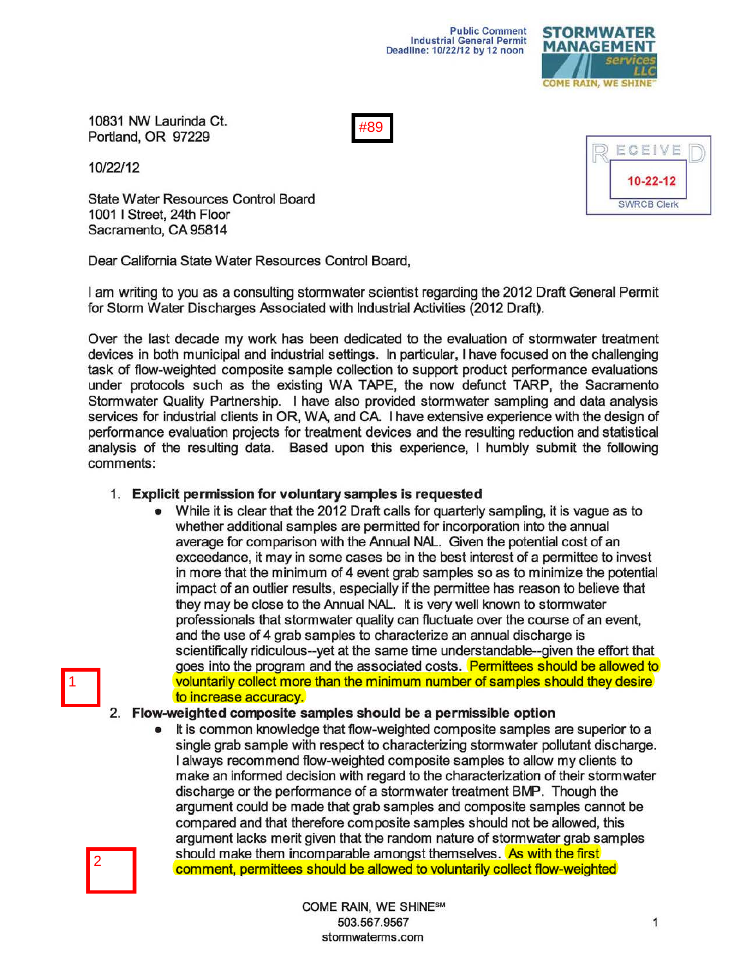

10831 NW Laurinda Ct. Portland, OR 97229



10/22/12

State Water Resources Control Board 1001 I Street, 24th Floor Sacramento, CA 95814

Dear California State Water Resources Control Board,

I am writing to you as a consulting stormwater scientist regarding the 2012 Draft General Permit for Storm Water Discharges Associated with Industrial Activities (2012 Draft).

Over the last decade my work has been dedicated to the evaluation of stormwater treatment devices in both municipal and industrial settings. In particular, I have focused on the challenging task of flow-weighted composite sample collection to support product performance evaluations under protocols such as the existing WA TAPE, the now defunct TARP, the Sacramento Stormwater Quality Partnership. I have also provided stormwater sampling and data analysis services for industrial clients in OR, WA, and CA. I have extensive experience with the design of performance evaluation projects for treatment devices and the resulting reduction and statistical analysis of the resulting data. Based upon this experience, I humbly submit the following comments:

## 1. Explicit pernission for voluntary samples is requested

• While it is clear that the 2012 Draft calls for quarterly sampling, it is vague as to whether additional samples are permitted for incorporation into the annual average for comparison with the Annual NAL. Given the potential cost of an exceedance, it may in some cases be in the best interest of a permittee to invest in more that the minimum of 4 event grab samples so as to minimize the potential impact of an outlier results, especially if the permittee has reason to believe that they may be close to the Annual NAL. It is very well known to storm water professionals that stormwater quality can fluctuate over the course of an event, and the use of 4 grab samples to characterize an annual discharge is scientifically ridiculous--yet at the same time understandable--given the effort that goes into the program and the associated costs. Permittees should be allowed to voluntarily collect more than the minimum number of samples should they desire to increase accuracy.

## 2. Flow-weighted composite samples should be a permissible option

• It is common knowledge that flow-weighted composite samples are superior to a single grab sample with respect to characterizing stormwater pollutant discharge. I always recommend flow-weighted composite samples to allow my clients to make an informed decision with regard to the characterization of their storm water discharge or the performance of a stormwater treatment BMP. Though the argument could be made that grab samples and composite samples cannot be compared and that therefore composite samples should not be allowed, this argument lacks merit given that the random nature of stormwater grab samples should make them incomparable amongst themselves. As with the first comment, permittees should be allowed to voluntarily collect flow-weighted

2

1

COME RAIN, WE SHINESM 503.567.9567 stormwaterms. com